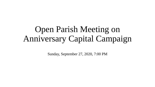# Open Parish Meeting on Anniversary Capital Campaign

Sunday, September 27, 2020, 7:00 PM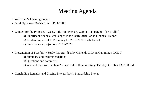## Meeting Agenda

- Welcome & Opening Prayer
- Brief Update on Parish Life: [Fr. Mullin]
- Context for the Proposed Twenty-Fifth Anniversary Capital Campaign: [Fr. Mullin]
	- a) Significant financial challenges in the 2018-2019 Parish Financial Report
	- b) Positive impact of PPP funding for  $2019-2020+2020-2021$
	- c) Bank balance projections: 2019-2023
- Presentation of Feasibility Study Report: [Kathy Caliendo & Lynn Cummings, LCDC]
	- a) Summary and recommendations
	- b) Questions and comments
	- c) Where do we go from here? Leadership Team meeting: Tuesday, October 13, 7:00 PM
- Concluding Remarks and Closing Prayer: Parish Stewardship Prayer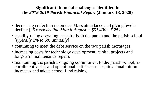### **Significant financial challenges identified in the** *2018-2019 Parish Financial Report* **(January 13, 2020)**

- decreasing collection income as Mass attendance and giving levels decline [*25 week decline March-August = \$51,400; -6.2%*]
- steadily rising operating costs for both the parish and the parish school [*typically 2% to 5% annually*]
- continuing to meet the debt service on the two parish mortgages
- increasing costs for technology development, capital projects and long-term maintenance repairs
- maintaining the parish's ongoing commitment to the parish school, as enrollment varies and operational deficits rise despite annual tuition increases and added school fund raising.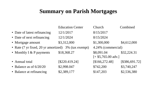### **Summary on Parish Mortgages**

|                                      | <b>Education Center</b> | Church                                     | Combined       |  |
|--------------------------------------|-------------------------|--------------------------------------------|----------------|--|
| • Date of latest refinancing         | 12/1/2017               | 8/15/2017                                  |                |  |
| • Date of next refinancing           | 12/1/2024               | 8/15/2024                                  |                |  |
| • Mortgage amount                    | \$3,312,000             | \$1,300,000                                | \$4,612,000    |  |
| • Rate (7 yr fixed, 20 yr amortized) | 3% (tax exempt)         | 4.24% (commercial)                         |                |  |
| • Monthly I & P payments             | \$18,368.27             | \$8,091.04<br>$[+ $5,765.00 \text{ adv.}]$ | \$32,224.31    |  |
| • Annual total                       | [S220.419.24]           | [\$166,272.48]                             | [\$386,691.72] |  |
| • Balance as of $6/20/20$            | \$2,998.047             | \$742,200                                  | \$3,740,247    |  |
| • Balance at refinancing             | \$2,389,177             | \$147,203                                  | \$2,536,380    |  |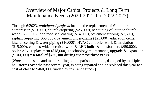Overview of Major Capital Projects & Long Term Maintenance Needs (2020-2021 thru 2022-2023)

Through 6/2023, *anticipated projects* include the replacement of #1 chiller compressor (\$70,000), church carpeting (\$25,000), re-staining of interior church wood (\$30,000), loop road seal coating (\$14,000), pavement striping (\$7,500), asphalt re-paving (\$65,000), pavement under-drains (\$25,600), education center kitchen ceiling & water piping (\$16,000), HVAC controller work & insulation (\$15,000), campus-wide electrical work & LED bulbs & transformers (\$50,000), boiler valve replacement  $(\$18,000) +$  technology maintenance, upgrade & expansion (\$100,000) = **a total of \$436,100 during the next three years**.

[*Note*: all the slate and metal roofing on the parish buildings, damaged by multiple hail storms over the past several year, is being repaired and/or replaced this year at a cost of close to \$460,000, funded by insurance funds.]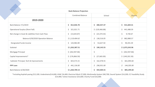| <b>Bank Balance Projection</b>                   |                         |                                |                   |  |  |  |
|--------------------------------------------------|-------------------------|--------------------------------|-------------------|--|--|--|
|                                                  | <b>Combined Balance</b> | School                         | Church            |  |  |  |
| 2019-2020                                        |                         |                                |                   |  |  |  |
| Bank Balance 7/1/2019                            | \$312,026.78            | Ś.<br>280,357.47               | \$531,669.31      |  |  |  |
| <b>Operational Surplus (Short Fall)</b>          | \$321,021.71            | \$ (120, 466.88)               | 441,488.59<br>\$. |  |  |  |
| Net change in Asset & Liabilities from Cash Flow | \$ (13,643.87)          | $\sin(23,374.54)$              | \$<br>9,730.67    |  |  |  |
| Balance 6/30/2020 Operation Balance              | \$1,119,404.62          | \$136,516.05                   | 982,888.57<br>\$  |  |  |  |
| Designated Funds Income                          | \$143,982.89            | \$<br>53,627.50                | 90,355.39<br>\$.  |  |  |  |
| Subtotal                                         | \$1,263,387.51          | \$190,143.55                   | \$1,073,243.96    |  |  |  |
| Mortgage Principal                               | \$ (262, 947.86)        | \$<br>$\overline{\phantom{a}}$ | \$ (262,947.86)   |  |  |  |
| Capital Improvements*                            | \$ (176,866.50)         | \$.<br>(27,665.00)             | \$ (149, 201.50)  |  |  |  |
| Subtotal: Principal, Tech & Improvements         | \$23,573.15             | \$162,478.55                   | 661,094.60<br>\$. |  |  |  |
| <b>PPP Loan</b>                                  | \$441,136.00            | \$296,931.00                   | 144,205.00<br>S.  |  |  |  |
| <b>Bank Balance 6/30/2020</b>                    | \$1,264,709.15          | 459,409.55<br>\$               | 805,299.60<br>\$. |  |  |  |

\*including Asphalt paving \$15,100; Underdrains\$14,600; HVAC \$4,400; Electrical Work \$7,000; Multimedia System \$40,700; Sound System \$14,200; CC Feasibility Study \$14,900; Tuition Assistance \$25,600; Charity Fund \$16,000.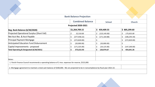|                                                | <b>Bank Balance Projection</b> |                     |                      |
|------------------------------------------------|--------------------------------|---------------------|----------------------|
|                                                | <b>Combined Balance</b>        | <b>School</b>       | <b>Church</b>        |
|                                                | <b>Projected 2020-2021</b>     |                     |                      |
| <b>Beg. Bank Balance (6/30/2020)</b>           | \$1,264,709.15                 | \$459,409.55        | \$805,299.60         |
| Projected Operational Surplus (Short Fall)     | 52,510.00                      | \$<br>(123, 145.00) | 175,655.00           |
| Net Acct Rec. & Acct Payable                   | \$<br>(277, 458.22)            | (171, 164.88)<br>\$ | (106, 293.34)        |
| <b>Principal Payment Mortgage</b>              | \$<br>(272, 820.00)            | \$                  | \$.<br>(272, 820.00) |
| <b>Anticipated Education Fund Disbursement</b> | \$<br>(20,000.00)              | \$<br>(20,000.00)   | \$                   |
| Capital Improvements - proposed                | (171, 325.00)                  | \$<br>(24, 125.00)  | (147, 200.00)<br>\$. |
| Total Operating & Designated (6/30/2021)       | \$.<br>575,615.93              | 120,974.67<br>\$.   | \$<br>454,641.26     |
| Notes:                                         |                                |                     |                      |

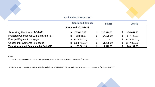#### **Bank Balance Projection**

|                                                     |                | <b>Combined Balance</b> |                | <b>School</b>  |  | <b>Church</b> |  |
|-----------------------------------------------------|----------------|-------------------------|----------------|----------------|--|---------------|--|
| <b>Projected 2021-2022</b>                          |                |                         |                |                |  |               |  |
| Operating Cash as of 7/1/2021                       |                | 575,615.93              |                | 120,974.67     |  | 454,641.26    |  |
| Projected Operational Surplus (Short Fall)          | \$             | 92,841.00               | $\mathfrak{L}$ | (54, 879.00)   |  | 147,720.00    |  |
| <b>Principal Payment Mortgage</b>                   | \$             | (278, 870.00)           |                | $\blacksquare$ |  | (278, 870.00) |  |
| Capital Improvements - proposed                     | $\mathfrak{L}$ | (228, 725.00)           | \$             | (51, 425.00)   |  | (177, 300.00) |  |
| <b>Total Operating &amp; Designated (6/30/2022)</b> |                | 160,861.93              |                | 14,670.67      |  | 146,191.26    |  |

Notes:

1. Parish Finance Council recommends a operating balance of 2 mos. expenses for reserve, \$525,000.

2. Mortgage agreement to maintain a total cash balance of \$500,000. We are projected to be in noncompliance by fiscal year 2021-22.